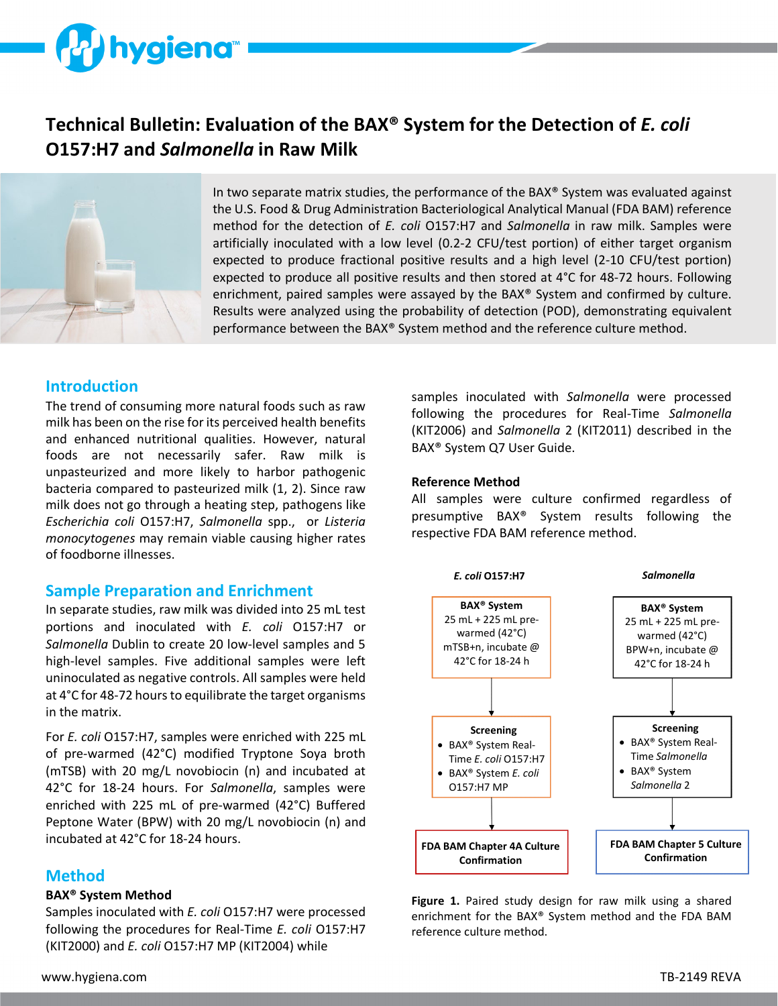# **hygiena**

# **Technical Bulletin: Evaluation of the BAX® System for the Detection of** *E. coli* **O157:H7 and** *Salmonella* **in Raw Milk**



In two separate matrix studies, the performance of the BAX® System was evaluated against the U.S. Food & Drug Administration Bacteriological Analytical Manual (FDA BAM) reference method for the detection of *E. coli* O157:H7 and *Salmonella* in raw milk. Samples were artificially inoculated with a low level (0.2-2 CFU/test portion) of either target organism expected to produce fractional positive results and a high level (2-10 CFU/test portion) expected to produce all positive results and then stored at 4°C for 48-72 hours. Following enrichment, paired samples were assayed by the BAX® System and confirmed by culture. Results were analyzed using the probability of detection (POD), demonstrating equivalent performance between the BAX® System method and the reference culture method.

# **Introduction**

The trend of consuming more natural foods such as raw milk has been on the rise for its perceived health benefits and enhanced nutritional qualities. However, natural foods are not necessarily safer. Raw milk is unpasteurized and more likely to harbor pathogenic bacteria compared to pasteurized milk (1, 2). Since raw milk does not go through a heating step, pathogens like *Escherichia coli* O157:H7, *Salmonella* spp., or *Listeria monocytogenes* may remain viable causing higher rates of foodborne illnesses.

# **Sample Preparation and Enrichment**

In separate studies, raw milk was divided into 25 mL test portions and inoculated with *E. coli* O157:H7 or *Salmonella* Dublin to create 20 low-level samples and 5 high-level samples. Five additional samples were left uninoculated as negative controls. All samples were held at 4°C for 48-72 hours to equilibrate the target organisms in the matrix.

For *E. coli* O157:H7, samples were enriched with 225 mL of pre-warmed (42°C) modified Tryptone Soya broth (mTSB) with 20 mg/L novobiocin (n) and incubated at 42°C for 18-24 hours. For *Salmonella*, samples were enriched with 225 mL of pre-warmed (42°C) Buffered Peptone Water (BPW) with 20 mg/L novobiocin (n) and incubated at 42°C for 18-24 hours.

# **Method**

#### **BAX® System Method**

Samples inoculated with *E. coli* O157:H7 were processed following the procedures for Real-Time *E. coli* O157:H7 (KIT2000) and *E. coli* O157:H7 MP (KIT2004) while

samples inoculated with *Salmonella* were processed following the procedures for Real-Time *Salmonella* (KIT2006) and *Salmonella* 2 (KIT2011) described in the BAX® System Q7 User Guide.

#### **Reference Method**

All samples were culture confirmed regardless of presumptive BAX® System results following the respective FDA BAM reference method.



**Figure 1.** Paired study design for raw milk using a shared enrichment for the BAX® System method and the FDA BAM reference culture method.